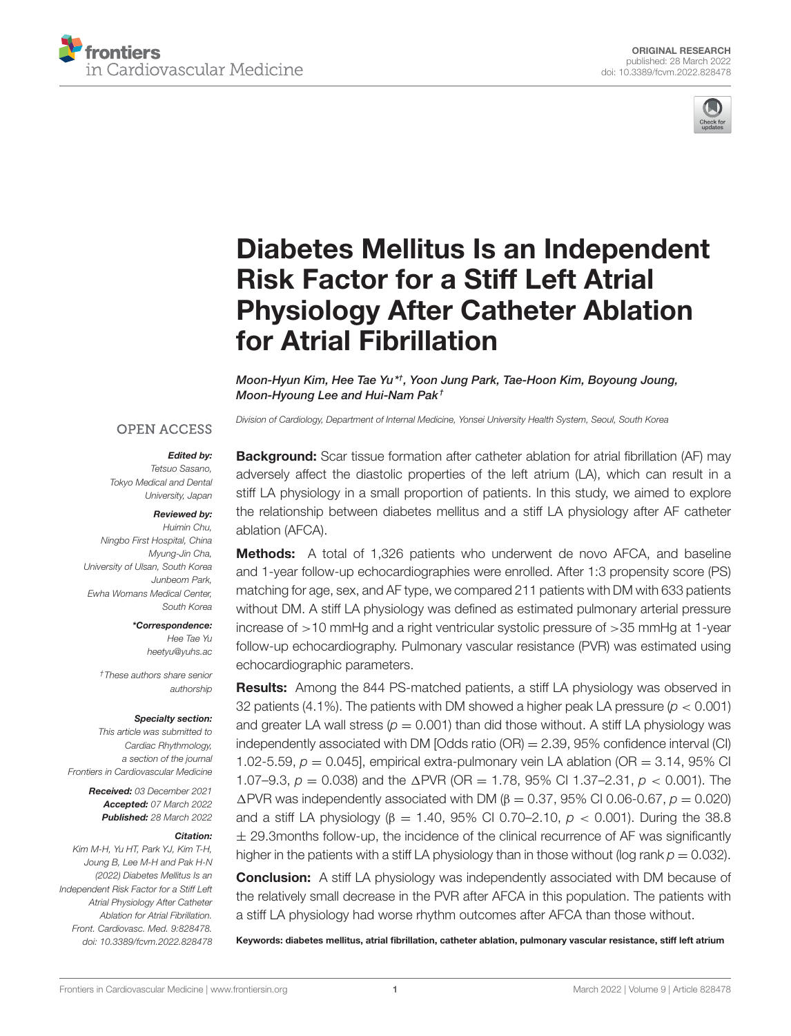



# [Diabetes Mellitus Is an Independent](https://www.frontiersin.org/articles/10.3389/fcvm.2022.828478/full) Risk Factor for a Stiff Left Atrial Physiology After Catheter Ablation for Atrial Fibrillation

Moon-Hyun Kim, Hee Tae Yu\*†, Yoon Jung Park, Tae-Hoon Kim, Boyoung Joung, Moon-Hyoung Lee and Hui-Nam Pak †

*Division of Cardiology, Department of Internal Medicine, Yonsei University Health System, Seoul, South Korea*

#### **OPEN ACCESS**

#### Edited by:

*Tetsuo Sasano, Tokyo Medical and Dental University, Japan*

#### Reviewed by:

*Huimin Chu, Ningbo First Hospital, China Myung-Jin Cha, University of Ulsan, South Korea Junbeom Park, Ewha Womans Medical Center, South Korea*

> \*Correspondence: *Hee Tae Yu [heetyu@yuhs.ac](mailto:heetyu@yuhs.ac)*

*†These authors share senior authorship*

#### Specialty section:

*This article was submitted to Cardiac Rhythmology, a section of the journal Frontiers in Cardiovascular Medicine*

> Received: *03 December 2021* Accepted: *07 March 2022* Published: *28 March 2022*

#### Citation:

*Kim M-H, Yu HT, Park YJ, Kim T-H, Joung B, Lee M-H and Pak H-N (2022) Diabetes Mellitus Is an Independent Risk Factor for a Stiff Left Atrial Physiology After Catheter Ablation for Atrial Fibrillation. Front. Cardiovasc. Med. 9:828478. doi: [10.3389/fcvm.2022.828478](https://doi.org/10.3389/fcvm.2022.828478)*

**Background:** Scar tissue formation after catheter ablation for atrial fibrillation (AF) may adversely affect the diastolic properties of the left atrium (LA), which can result in a stiff LA physiology in a small proportion of patients. In this study, we aimed to explore the relationship between diabetes mellitus and a stiff LA physiology after AF catheter ablation (AFCA).

**Methods:** A total of 1,326 patients who underwent de novo AFCA, and baseline and 1-year follow-up echocardiographies were enrolled. After 1:3 propensity score (PS) matching for age, sex, and AF type, we compared 211 patients with DM with 633 patients without DM. A stiff LA physiology was defined as estimated pulmonary arterial pressure increase of >10 mmHg and a right ventricular systolic pressure of >35 mmHg at 1-year follow-up echocardiography. Pulmonary vascular resistance (PVR) was estimated using echocardiographic parameters.

Results: Among the 844 PS-matched patients, a stiff LA physiology was observed in 32 patients (4.1%). The patients with DM showed a higher peak LA pressure (*p* < 0.001) and greater LA wall stress  $(p = 0.001)$  than did those without. A stiff LA physiology was independently associated with DM [Odds ratio (OR) = 2.39, 95% confidence interval (CI) 1.02-5.59,  $p = 0.045$ , empirical extra-pulmonary vein LA ablation (OR  $= 3.14$ , 95% CI 1.07–9.3, *p* = 0.038) and the 1PVR (OR = 1.78, 95% CI 1.37–2.31, *p* < 0.001). The 1PVR was independently associated with DM (β = 0.37, 95% CI 0.06-0.67, *p* = 0.020) and a stiff LA physiology (β = 1.40, 95% CI 0.70–2.10, *p* < 0.001). During the 38.8  $\pm$  29.3months follow-up, the incidence of the clinical recurrence of AF was significantly higher in the patients with a stiff LA physiology than in those without (log rank  $p = 0.032$ ).

**Conclusion:** A stiff LA physiology was independently associated with DM because of the relatively small decrease in the PVR after AFCA in this population. The patients with a stiff LA physiology had worse rhythm outcomes after AFCA than those without.

Keywords: diabetes mellitus, atrial fibrillation, catheter ablation, pulmonary vascular resistance, stiff left atrium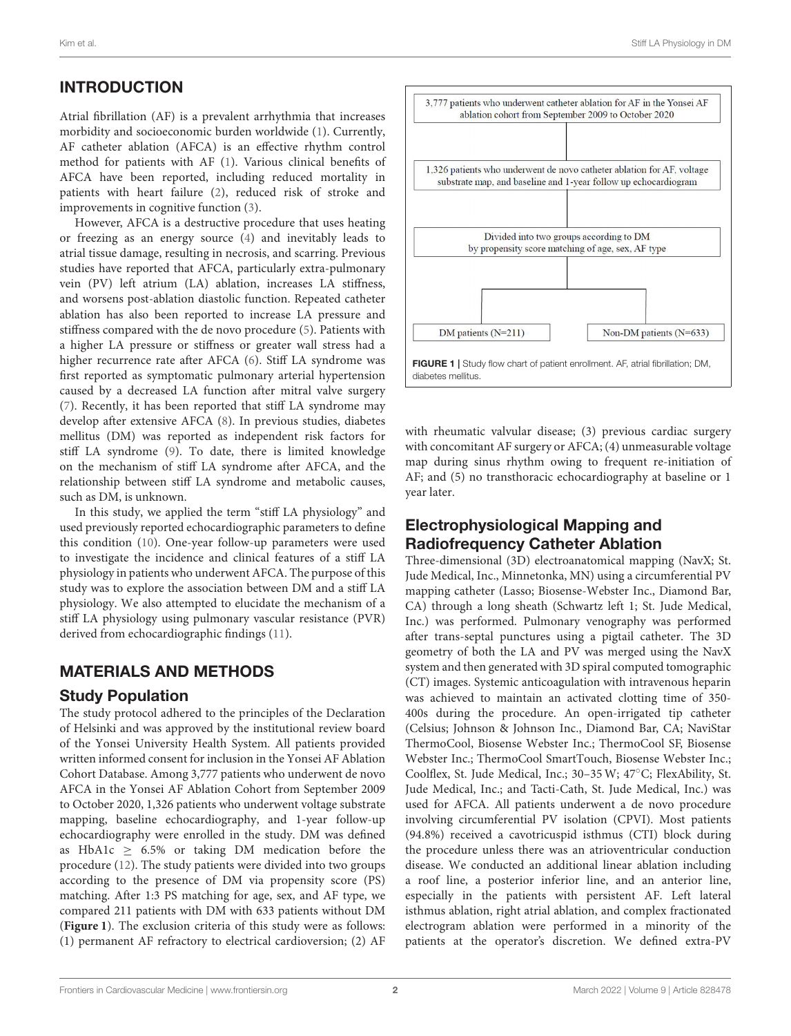# INTRODUCTION

Atrial fibrillation (AF) is a prevalent arrhythmia that increases morbidity and socioeconomic burden worldwide [\(1\)](#page-8-0). Currently, AF catheter ablation (AFCA) is an effective rhythm control method for patients with AF [\(1\)](#page-8-0). Various clinical benefits of AFCA have been reported, including reduced mortality in patients with heart failure [\(2\)](#page-8-1), reduced risk of stroke and improvements in cognitive function [\(3\)](#page-8-2).

However, AFCA is a destructive procedure that uses heating or freezing as an energy source [\(4\)](#page-8-3) and inevitably leads to atrial tissue damage, resulting in necrosis, and scarring. Previous studies have reported that AFCA, particularly extra-pulmonary vein (PV) left atrium (LA) ablation, increases LA stiffness, and worsens post-ablation diastolic function. Repeated catheter ablation has also been reported to increase LA pressure and stiffness compared with the de novo procedure [\(5\)](#page-8-4). Patients with a higher LA pressure or stiffness or greater wall stress had a higher recurrence rate after AFCA [\(6\)](#page-8-5). Stiff LA syndrome was first reported as symptomatic pulmonary arterial hypertension caused by a decreased LA function after mitral valve surgery [\(7\)](#page-8-6). Recently, it has been reported that stiff LA syndrome may develop after extensive AFCA [\(8\)](#page-8-7). In previous studies, diabetes mellitus (DM) was reported as independent risk factors for stiff LA syndrome [\(9\)](#page-8-8). To date, there is limited knowledge on the mechanism of stiff LA syndrome after AFCA, and the relationship between stiff LA syndrome and metabolic causes, such as DM, is unknown.

In this study, we applied the term "stiff LA physiology" and used previously reported echocardiographic parameters to define this condition [\(10\)](#page-8-9). One-year follow-up parameters were used to investigate the incidence and clinical features of a stiff LA physiology in patients who underwent AFCA. The purpose of this study was to explore the association between DM and a stiff LA physiology. We also attempted to elucidate the mechanism of a stiff LA physiology using pulmonary vascular resistance (PVR) derived from echocardiographic findings [\(11\)](#page-8-10).

### MATERIALS AND METHODS

### Study Population

The study protocol adhered to the principles of the Declaration of Helsinki and was approved by the institutional review board of the Yonsei University Health System. All patients provided written informed consent for inclusion in the Yonsei AF Ablation Cohort Database. Among 3,777 patients who underwent de novo AFCA in the Yonsei AF Ablation Cohort from September 2009 to October 2020, 1,326 patients who underwent voltage substrate mapping, baseline echocardiography, and 1-year follow-up echocardiography were enrolled in the study. DM was defined as HbA1c  $\geq$  6.5% or taking DM medication before the procedure [\(12\)](#page-8-11). The study patients were divided into two groups according to the presence of DM via propensity score (PS) matching. After 1:3 PS matching for age, sex, and AF type, we compared 211 patients with DM with 633 patients without DM (**[Figure 1](#page-1-0)**). The exclusion criteria of this study were as follows: (1) permanent AF refractory to electrical cardioversion; (2) AF



<span id="page-1-0"></span>with rheumatic valvular disease; (3) previous cardiac surgery with concomitant AF surgery or AFCA; (4) unmeasurable voltage map during sinus rhythm owing to frequent re-initiation of AF; and (5) no transthoracic echocardiography at baseline or 1 year later.

### Electrophysiological Mapping and Radiofrequency Catheter Ablation

Three-dimensional (3D) electroanatomical mapping (NavX; St. Jude Medical, Inc., Minnetonka, MN) using a circumferential PV mapping catheter (Lasso; Biosense-Webster Inc., Diamond Bar, CA) through a long sheath (Schwartz left 1; St. Jude Medical, Inc.) was performed. Pulmonary venography was performed after trans-septal punctures using a pigtail catheter. The 3D geometry of both the LA and PV was merged using the NavX system and then generated with 3D spiral computed tomographic (CT) images. Systemic anticoagulation with intravenous heparin was achieved to maintain an activated clotting time of 350- 400s during the procedure. An open-irrigated tip catheter (Celsius; Johnson & Johnson Inc., Diamond Bar, CA; NaviStar ThermoCool, Biosense Webster Inc.; ThermoCool SF, Biosense Webster Inc.; ThermoCool SmartTouch, Biosense Webster Inc.; Coolflex, St. Jude Medical, Inc.; 30–35 W; 47◦C; FlexAbility, St. Jude Medical, Inc.; and Tacti-Cath, St. Jude Medical, Inc.) was used for AFCA. All patients underwent a de novo procedure involving circumferential PV isolation (CPVI). Most patients (94.8%) received a cavotricuspid isthmus (CTI) block during the procedure unless there was an atrioventricular conduction disease. We conducted an additional linear ablation including a roof line, a posterior inferior line, and an anterior line, especially in the patients with persistent AF. Left lateral isthmus ablation, right atrial ablation, and complex fractionated electrogram ablation were performed in a minority of the patients at the operator's discretion. We defined extra-PV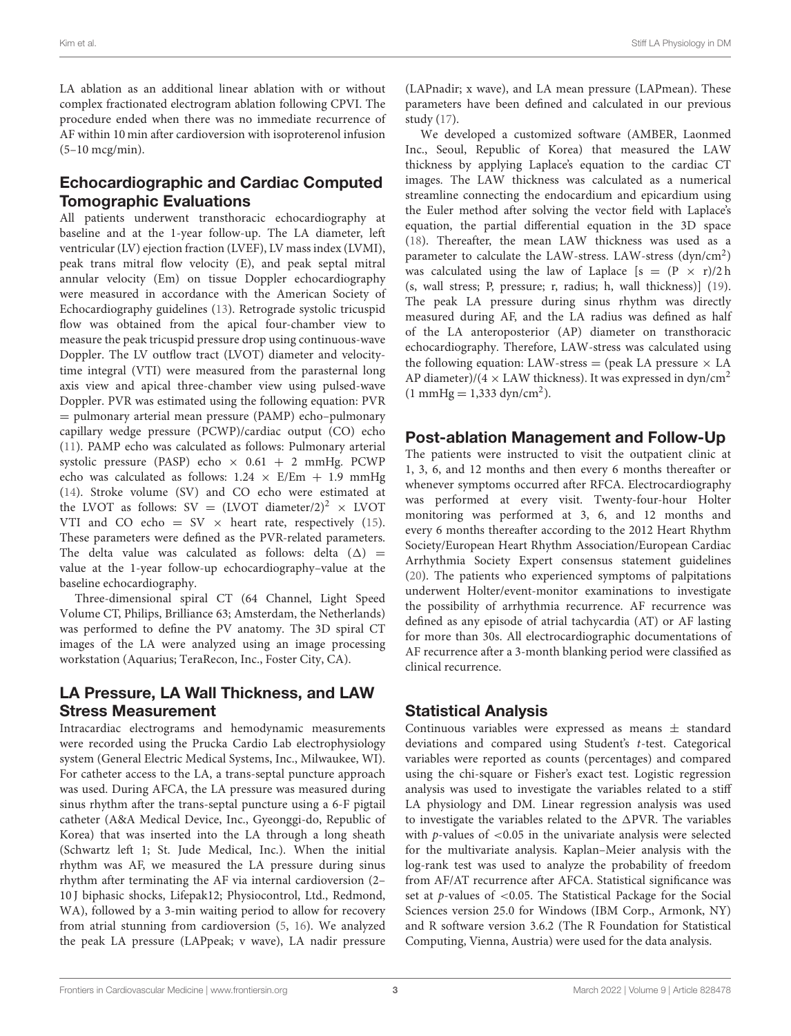LA ablation as an additional linear ablation with or without complex fractionated electrogram ablation following CPVI. The procedure ended when there was no immediate recurrence of AF within 10 min after cardioversion with isoproterenol infusion (5–10 mcg/min).

### Echocardiographic and Cardiac Computed Tomographic Evaluations

All patients underwent transthoracic echocardiography at baseline and at the 1-year follow-up. The LA diameter, left ventricular (LV) ejection fraction (LVEF), LV mass index (LVMI), peak trans mitral flow velocity (E), and peak septal mitral annular velocity (Em) on tissue Doppler echocardiography were measured in accordance with the American Society of Echocardiography guidelines [\(13\)](#page-8-12). Retrograde systolic tricuspid flow was obtained from the apical four-chamber view to measure the peak tricuspid pressure drop using continuous-wave Doppler. The LV outflow tract (LVOT) diameter and velocitytime integral (VTI) were measured from the parasternal long axis view and apical three-chamber view using pulsed-wave Doppler. PVR was estimated using the following equation: PVR = pulmonary arterial mean pressure (PAMP) echo–pulmonary capillary wedge pressure (PCWP)/cardiac output (CO) echo [\(11\)](#page-8-10). PAMP echo was calculated as follows: Pulmonary arterial systolic pressure (PASP) echo  $\times$  0.61 + 2 mmHg. PCWP echo was calculated as follows:  $1.24 \times E/Em + 1.9 \text{ mmHg}$ [\(14\)](#page-8-13). Stroke volume (SV) and CO echo were estimated at the LVOT as follows: SV =  $(LVOT$  diameter/2)<sup>2</sup> × LVOT VTI and CO echo = SV  $\times$  heart rate, respectively [\(15\)](#page-8-14). These parameters were defined as the PVR-related parameters. The delta value was calculated as follows: delta  $(\Delta)$  = value at the 1-year follow-up echocardiography–value at the baseline echocardiography.

Three-dimensional spiral CT (64 Channel, Light Speed Volume CT, Philips, Brilliance 63; Amsterdam, the Netherlands) was performed to define the PV anatomy. The 3D spiral CT images of the LA were analyzed using an image processing workstation (Aquarius; TeraRecon, Inc., Foster City, CA).

### LA Pressure, LA Wall Thickness, and LAW Stress Measurement

Intracardiac electrograms and hemodynamic measurements were recorded using the Prucka Cardio Lab electrophysiology system (General Electric Medical Systems, Inc., Milwaukee, WI). For catheter access to the LA, a trans-septal puncture approach was used. During AFCA, the LA pressure was measured during sinus rhythm after the trans-septal puncture using a 6-F pigtail catheter (A&A Medical Device, Inc., Gyeonggi-do, Republic of Korea) that was inserted into the LA through a long sheath (Schwartz left 1; St. Jude Medical, Inc.). When the initial rhythm was AF, we measured the LA pressure during sinus rhythm after terminating the AF via internal cardioversion (2– 10 J biphasic shocks, Lifepak12; Physiocontrol, Ltd., Redmond, WA), followed by a 3-min waiting period to allow for recovery from atrial stunning from cardioversion [\(5,](#page-8-4) [16\)](#page-8-15). We analyzed the peak LA pressure (LAPpeak; v wave), LA nadir pressure (LAPnadir; x wave), and LA mean pressure (LAPmean). These parameters have been defined and calculated in our previous study [\(17\)](#page-8-16).

We developed a customized software (AMBER, Laonmed Inc., Seoul, Republic of Korea) that measured the LAW thickness by applying Laplace's equation to the cardiac CT images. The LAW thickness was calculated as a numerical streamline connecting the endocardium and epicardium using the Euler method after solving the vector field with Laplace's equation, the partial differential equation in the 3D space [\(18\)](#page-8-17). Thereafter, the mean LAW thickness was used as a parameter to calculate the LAW-stress. LAW-stress (dyn/cm<sup>2</sup>) was calculated using the law of Laplace  $[s = (P \times r)/2 h]$ (s, wall stress; P, pressure; r, radius; h, wall thickness)] [\(19\)](#page-8-18). The peak LA pressure during sinus rhythm was directly measured during AF, and the LA radius was defined as half of the LA anteroposterior (AP) diameter on transthoracic echocardiography. Therefore, LAW-stress was calculated using the following equation: LAW-stress = (peak LA pressure  $\times$  LA AP diameter)/(4  $\times$  LAW thickness). It was expressed in dyn/cm<sup>2</sup>  $(1 \text{ mmHg} = 1,333 \text{ dyn/cm}^2).$ 

### Post-ablation Management and Follow-Up

The patients were instructed to visit the outpatient clinic at 1, 3, 6, and 12 months and then every 6 months thereafter or whenever symptoms occurred after RFCA. Electrocardiography was performed at every visit. Twenty-four-hour Holter monitoring was performed at 3, 6, and 12 months and every 6 months thereafter according to the 2012 Heart Rhythm Society/European Heart Rhythm Association/European Cardiac Arrhythmia Society Expert consensus statement guidelines [\(20\)](#page-8-19). The patients who experienced symptoms of palpitations underwent Holter/event-monitor examinations to investigate the possibility of arrhythmia recurrence. AF recurrence was defined as any episode of atrial tachycardia (AT) or AF lasting for more than 30s. All electrocardiographic documentations of AF recurrence after a 3-month blanking period were classified as clinical recurrence.

# Statistical Analysis

Continuous variables were expressed as means  $\pm$  standard deviations and compared using Student's t-test. Categorical variables were reported as counts (percentages) and compared using the chi-square or Fisher's exact test. Logistic regression analysis was used to investigate the variables related to a stiff LA physiology and DM. Linear regression analysis was used to investigate the variables related to the  $\Delta \text{PVR}$ . The variables with  $p$ -values of  $< 0.05$  in the univariate analysis were selected for the multivariate analysis. Kaplan–Meier analysis with the log-rank test was used to analyze the probability of freedom from AF/AT recurrence after AFCA. Statistical significance was set at  $p$ -values of <0.05. The Statistical Package for the Social Sciences version 25.0 for Windows (IBM Corp., Armonk, NY) and R software version 3.6.2 (The R Foundation for Statistical Computing, Vienna, Austria) were used for the data analysis.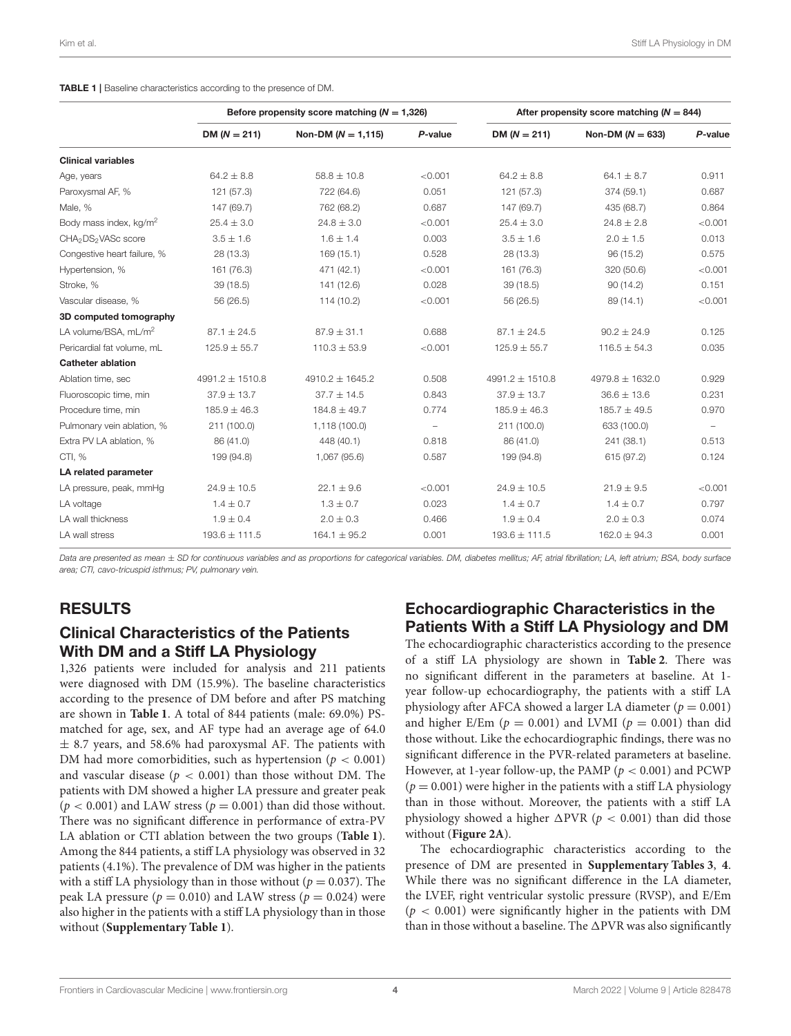<span id="page-3-0"></span>

|                                             | Before propensity score matching ( $N = 1,326$ ) |                        |                          | After propensity score matching ( $N = 844$ ) |                     |         |  |
|---------------------------------------------|--------------------------------------------------|------------------------|--------------------------|-----------------------------------------------|---------------------|---------|--|
| $DM (N = 211)$                              |                                                  | Non-DM ( $N = 1,115$ ) | P-value                  | $DM (N = 211)$                                | Non-DM $(N = 633)$  | P-value |  |
| <b>Clinical variables</b>                   |                                                  |                        |                          |                                               |                     |         |  |
| Age, years                                  | $64.2 \pm 8.8$                                   | $58.8 \pm 10.8$        | < 0.001                  | $64.2 \pm 8.8$                                | 64.1 $\pm$ 8.7      | 0.911   |  |
| Paroxysmal AF, %                            | 121 (57.3)                                       | 722 (64.6)             | 0.051                    | 121 (57.3)                                    | 374 (59.1)          | 0.687   |  |
| Male, %                                     | 147 (69.7)                                       | 762 (68.2)             | 0.687                    | 147 (69.7)<br>435 (68.7)                      |                     | 0.864   |  |
| Body mass index, kg/m <sup>2</sup>          | $25.4 \pm 3.0$                                   | $24.8 \pm 3.0$         | < 0.001                  | $24.8 \pm 2.8$<br>$25.4 \pm 3.0$              |                     | < 0.001 |  |
| CHA <sub>2</sub> DS <sub>2</sub> VASc score | $3.5 \pm 1.6$                                    | $1.6 \pm 1.4$          | 0.003                    | $3.5 \pm 1.6$<br>$2.0 \pm 1.5$                |                     | 0.013   |  |
| Congestive heart failure, %                 | 28 (13.3)                                        | 169(15.1)              | 0.528                    | 28 (13.3)                                     | 96 (15.2)           | 0.575   |  |
| Hypertension, %                             | 161 (76.3)                                       | 471 (42.1)             | < 0.001                  | 161 (76.3)                                    | 320 (50.6)          | < 0.001 |  |
| Stroke, %                                   | 39(18.5)                                         | 141 (12.6)             | 0.028                    | 39(18.5)                                      | 90(14.2)            | 0.151   |  |
| Vascular disease, %                         | 56 (26.5)                                        | 114 (10.2)             | < 0.001                  | 56 (26.5)                                     | 89 (14.1)           | < 0.001 |  |
| 3D computed tomography                      |                                                  |                        |                          |                                               |                     |         |  |
| LA volume/BSA, mL/m <sup>2</sup>            | $87.1 \pm 24.5$                                  | $87.9 \pm 31.1$        | 0.688                    | $87.1 \pm 24.5$                               | $90.2 \pm 24.9$     | 0.125   |  |
| Pericardial fat volume, mL                  | $125.9 \pm 55.7$                                 | $110.3 \pm 53.9$       | < 0.001                  | $125.9 \pm 55.7$                              | $116.5 \pm 54.3$    | 0.035   |  |
| <b>Catheter ablation</b>                    |                                                  |                        |                          |                                               |                     |         |  |
| Ablation time, sec                          | $4991.2 \pm 1510.8$                              | $4910.2 \pm 1645.2$    | 0.508                    | $4991.2 \pm 1510.8$                           | 4979.8 $\pm$ 1632.0 | 0.929   |  |
| Fluoroscopic time, min                      | $37.9 \pm 13.7$                                  | $37.7 \pm 14.5$        | 0.843                    | $37.9 \pm 13.7$                               | $36.6 \pm 13.6$     | 0.231   |  |
| Procedure time, min                         | $185.9 \pm 46.3$                                 | $184.8 \pm 49.7$       | 0.774                    | $185.9 \pm 46.3$                              | $185.7 \pm 49.5$    | 0.970   |  |
| Pulmonary vein ablation, %                  | 211 (100.0)                                      | 1,118 (100.0)          | $\overline{\phantom{m}}$ | 211 (100.0)                                   | 633 (100.0)         |         |  |
| Extra PV LA ablation, %                     | 86 (41.0)                                        | 448 (40.1)             | 0.818                    | 86 (41.0)                                     | 241 (38.1)          | 0.513   |  |
| CTI, %                                      | 199 (94.8)                                       | 1,067 (95.6)           | 0.587                    | 199 (94.8)                                    | 615 (97.2)          | 0.124   |  |
| LA related parameter                        |                                                  |                        |                          |                                               |                     |         |  |
| LA pressure, peak, mmHg                     | $24.9 \pm 10.5$                                  | $22.1 \pm 9.6$         | < 0.001                  | $24.9 \pm 10.5$                               | $21.9 \pm 9.5$      | < 0.001 |  |
| LA voltage                                  | $1.4 \pm 0.7$                                    | $1.3 \pm 0.7$          | 0.023                    | $1.4 \pm 0.7$<br>$1.4 \pm 0.7$                |                     | 0.797   |  |
| LA wall thickness                           | $1.9 \pm 0.4$                                    | $2.0 \pm 0.3$          | 0.466                    | $1.9 \pm 0.4$                                 | $2.0 \pm 0.3$       | 0.074   |  |
| LA wall stress                              | $193.6 \pm 111.5$                                | $164.1 \pm 95.2$       | 0.001                    | $193.6 \pm 111.5$                             | $162.0 \pm 94.3$    | 0.001   |  |

*Data are presented as mean* ± *SD for continuous variables and as proportions for categorical variables. DM, diabetes mellitus; AF, atrial fibrillation; LA, left atrium; BSA, body surface area; CTI, cavo-tricuspid isthmus; PV, pulmonary vein.*

### RESULTS

### Clinical Characteristics of the Patients With DM and a Stiff LA Physiology

1,326 patients were included for analysis and 211 patients were diagnosed with DM (15.9%). The baseline characteristics according to the presence of DM before and after PS matching are shown in **[Table 1](#page-3-0)**. A total of 844 patients (male: 69.0%) PSmatched for age, sex, and AF type had an average age of 64.0  $\pm$  8.7 years, and 58.6% had paroxysmal AF. The patients with DM had more comorbidities, such as hypertension ( $p < 0.001$ ) and vascular disease ( $p < 0.001$ ) than those without DM. The patients with DM showed a higher LA pressure and greater peak  $(p < 0.001)$  and LAW stress  $(p = 0.001)$  than did those without. There was no significant difference in performance of extra-PV LA ablation or CTI ablation between the two groups (**[Table 1](#page-3-0)**). Among the 844 patients, a stiff LA physiology was observed in 32 patients (4.1%). The prevalence of DM was higher in the patients with a stiff LA physiology than in those without ( $p = 0.037$ ). The peak LA pressure ( $p = 0.010$ ) and LAW stress ( $p = 0.024$ ) were also higher in the patients with a stiff LA physiology than in those without (**[Supplementary Table 1](#page-8-20)**).

# Echocardiographic Characteristics in the Patients With a Stiff LA Physiology and DM

The echocardiographic characteristics according to the presence of a stiff LA physiology are shown in **[Table 2](#page-4-0)**. There was no significant different in the parameters at baseline. At 1 year follow-up echocardiography, the patients with a stiff LA physiology after AFCA showed a larger LA diameter ( $p = 0.001$ ) and higher E/Em ( $p = 0.001$ ) and LVMI ( $p = 0.001$ ) than did those without. Like the echocardiographic findings, there was no significant difference in the PVR-related parameters at baseline. However, at 1-year follow-up, the PAMP ( $p < 0.001$ ) and PCWP  $(p = 0.001)$  were higher in the patients with a stiff LA physiology than in those without. Moreover, the patients with a stiff LA physiology showed a higher  $\triangle$ PVR ( $p < 0.001$ ) than did those without (**[Figure 2A](#page-4-1)**).

The echocardiographic characteristics according to the presence of DM are presented in **[Supplementary Tables 3](#page-8-20)**, **[4](#page-8-20)**. While there was no significant difference in the LA diameter, the LVEF, right ventricular systolic pressure (RVSP), and E/Em  $(p < 0.001)$  were significantly higher in the patients with DM than in those without a baseline. The  $\Delta$ PVR was also significantly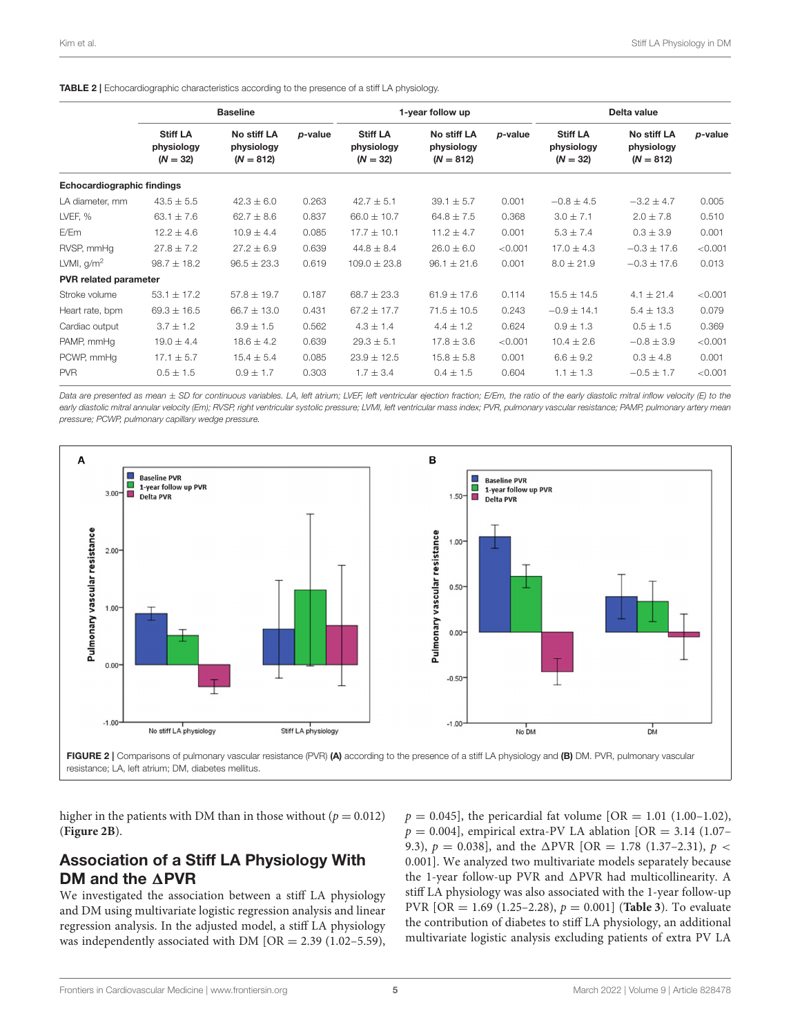<span id="page-4-0"></span>TABLE 2 | Echocardiographic characteristics according to the presence of a stiff LA physiology.

|                                   | <b>Baseline</b>                             |                                          |         | 1-year follow up                            |                                          |         | Delta value                                 |                                          |         |
|-----------------------------------|---------------------------------------------|------------------------------------------|---------|---------------------------------------------|------------------------------------------|---------|---------------------------------------------|------------------------------------------|---------|
|                                   | <b>Stiff LA</b><br>physiology<br>$(N = 32)$ | No stiff LA<br>physiology<br>$(N = 812)$ | p-value | <b>Stiff LA</b><br>physiology<br>$(N = 32)$ | No stiff LA<br>physiology<br>$(N = 812)$ | p-value | <b>Stiff LA</b><br>physiology<br>$(N = 32)$ | No stiff LA<br>physiology<br>$(N = 812)$ | p-value |
| <b>Echocardiographic findings</b> |                                             |                                          |         |                                             |                                          |         |                                             |                                          |         |
| LA diameter, mm                   | $43.5 \pm 5.5$                              | $42.3 \pm 6.0$                           | 0.263   | $42.7 \pm 5.1$                              | $39.1 \pm 5.7$                           | 0.001   | $-0.8 \pm 4.5$                              | $-3.2 \pm 4.7$                           | 0.005   |
| LVEF, %                           | 63.1 $\pm$ 7.6                              | $62.7 \pm 8.6$                           | 0.837   | $66.0 \pm 10.7$                             | $64.8 \pm 7.5$                           | 0.368   | $3.0 \pm 7.1$                               | $2.0 \pm 7.8$                            | 0.510   |
| E/Em                              | $12.2 \pm 4.6$                              | $10.9 \pm 4.4$                           | 0.085   | $17.7 \pm 10.1$                             | $11.2 \pm 4.7$                           | 0.001   | $5.3 \pm 7.4$                               | $0.3 \pm 3.9$                            | 0.001   |
| RVSP, mmHq                        | $27.8 \pm 7.2$                              | $27.2 \pm 6.9$                           | 0.639   | $44.8 \pm 8.4$                              | $26.0 \pm 6.0$                           | < 0.001 | $17.0 \pm 4.3$                              | $-0.3 \pm 17.6$                          | < 0.001 |
| LVMI, $g/m^2$                     | $98.7 \pm 18.2$                             | $96.5 \pm 23.3$                          | 0.619   | $109.0 \pm 23.8$                            | $96.1 \pm 21.6$                          | 0.001   | $8.0 \pm 21.9$                              | $-0.3 \pm 17.6$                          | 0.013   |
| <b>PVR</b> related parameter      |                                             |                                          |         |                                             |                                          |         |                                             |                                          |         |
| Stroke volume                     | $53.1 \pm 17.2$                             | $57.8 \pm 19.7$                          | 0.187   | $68.7 \pm 23.3$                             | $61.9 \pm 17.6$                          | 0.114   | $15.5 \pm 14.5$                             | $4.1 \pm 21.4$                           | < 0.001 |
| Heart rate, bpm                   | $69.3 \pm 16.5$                             | $66.7 \pm 13.0$                          | 0.431   | $67.2 \pm 17.7$                             | $71.5 \pm 10.5$                          | 0.243   | $-0.9 \pm 14.1$                             | $5.4 \pm 13.3$                           | 0.079   |
| Cardiac output                    | $3.7 \pm 1.2$                               | $3.9 \pm 1.5$                            | 0.562   | $4.3 \pm 1.4$                               | $4.4 \pm 1.2$                            | 0.624   | $0.9 \pm 1.3$                               | $0.5 \pm 1.5$                            | 0.369   |
| PAMP, mmHq                        | $19.0 \pm 4.4$                              | $18.6 \pm 4.2$                           | 0.639   | $29.3 \pm 5.1$                              | $17.8 \pm 3.6$                           | < 0.001 | $10.4 \pm 2.6$                              | $-0.8 \pm 3.9$                           | < 0.001 |
| PCWP, mmHq                        | $17.1 \pm 5.7$                              | $15.4 \pm 5.4$                           | 0.085   | $23.9 \pm 12.5$                             | $15.8 \pm 5.8$                           | 0.001   | $6.6 \pm 9.2$                               | $0.3 \pm 4.8$                            | 0.001   |
| <b>PVR</b>                        | $0.5 \pm 1.5$                               | $0.9 \pm 1.7$                            | 0.303   | $1.7 \pm 3.4$                               | $0.4 \pm 1.5$                            | 0.604   | $1.1 \pm 1.3$                               | $-0.5 \pm 1.7$                           | < 0.001 |

Data are presented as mean  $\pm$  SD for continuous variables. LA, left atrium; LVEF, left ventricular ejection fraction; E/Em, the ratio of the early diastolic mitral inflow velocity (E) to the early diastolic mitral annular velocity (Em); RVSP, right ventricular systolic pressure; LVMI, left ventricular mass index; PVR, pulmonary vascular resistance; PAMP, pulmonary artery mean *pressure; PCWP, pulmonary capillary wedge pressure.*



<span id="page-4-1"></span>FIGURE 2 | Comparisons of pulmonary vascular resistance (PVR) (A) according to the presence of a stiff LA physiology and (B) DM. PVR, pulmonary vascular resistance; LA, left atrium; DM, diabetes mellitus.

higher in the patients with DM than in those without ( $p = 0.012$ ) (**[Figure 2B](#page-4-1)**).

### Association of a Stiff LA Physiology With DM and the  $\triangle$ PVR

We investigated the association between a stiff LA physiology and DM using multivariate logistic regression analysis and linear regression analysis. In the adjusted model, a stiff LA physiology was independently associated with DM [OR =  $2.39$  (1.02–5.59),  $p = 0.045$ , the pericardial fat volume [OR = 1.01 (1.00-1.02),  $p = 0.004$ , empirical extra-PV LA ablation [OR = 3.14 (1.07– 9.3),  $p = 0.038$ , and the  $\triangle$ PVR [OR = 1.78 (1.37–2.31),  $p <$ 0.001]. We analyzed two multivariate models separately because the 1-year follow-up PVR and  $\Delta$ PVR had multicollinearity. A stiff LA physiology was also associated with the 1-year follow-up PVR [OR = 1.69 (1.25–2.28),  $p = 0.001$ ] (**[Table 3](#page-5-0)**). To evaluate the contribution of diabetes to stiff LA physiology, an additional multivariate logistic analysis excluding patients of extra PV LA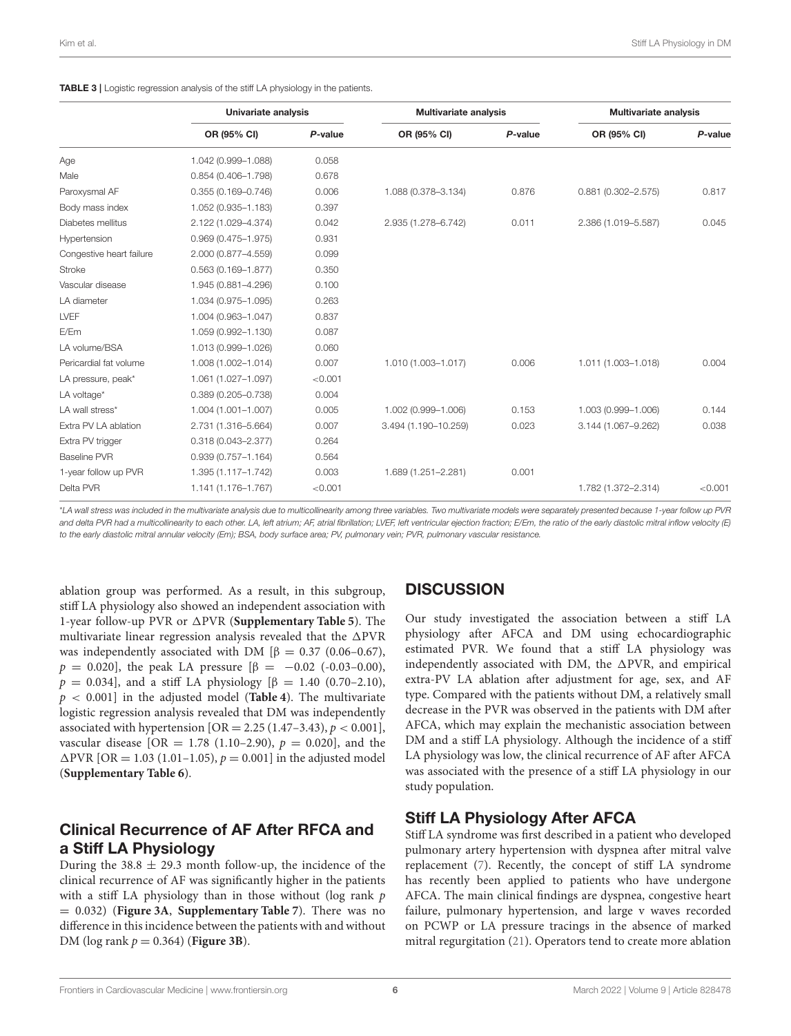<span id="page-5-0"></span>

| TABLE 3   Logistic regression analysis of the stiff LA physiology in the patients. |  |  |
|------------------------------------------------------------------------------------|--|--|
|------------------------------------------------------------------------------------|--|--|

|                          | Univariate analysis    |         | <b>Multivariate analysis</b> |         | <b>Multivariate analysis</b> |         |
|--------------------------|------------------------|---------|------------------------------|---------|------------------------------|---------|
|                          | OR (95% CI)            | P-value | OR (95% CI)                  | P-value | OR (95% CI)                  | P-value |
| Age                      | 1.042 (0.999-1.088)    | 0.058   |                              |         |                              |         |
| Male                     | $0.854(0.406 - 1.798)$ | 0.678   |                              |         |                              |         |
| Paroxysmal AF            | $0.355(0.169 - 0.746)$ | 0.006   | 1.088 (0.378-3.134)          | 0.876   | $0.881(0.302 - 2.575)$       | 0.817   |
| Body mass index          | 1.052 (0.935-1.183)    | 0.397   |                              |         |                              |         |
| Diabetes mellitus        | 2.122 (1.029-4.374)    | 0.042   | 2.935 (1.278-6.742)          | 0.011   | 2.386 (1.019-5.587)          | 0.045   |
| Hypertension             | $0.969(0.475 - 1.975)$ | 0.931   |                              |         |                              |         |
| Congestive heart failure | 2.000 (0.877-4.559)    | 0.099   |                              |         |                              |         |
| <b>Stroke</b>            | $0.563(0.169 - 1.877)$ | 0.350   |                              |         |                              |         |
| Vascular disease         | 1.945 (0.881-4.296)    | 0.100   |                              |         |                              |         |
| LA diameter              | 1.034 (0.975-1.095)    | 0.263   |                              |         |                              |         |
| LVEF                     | 1.004 (0.963-1.047)    | 0.837   |                              |         |                              |         |
| E/Em                     | 1.059 (0.992-1.130)    | 0.087   |                              |         |                              |         |
| LA volume/BSA            | 1.013 (0.999-1.026)    | 0.060   |                              |         |                              |         |
| Pericardial fat volume   | 1.008 (1.002-1.014)    | 0.007   | 1.010 (1.003-1.017)          | 0.006   | 1.011 (1.003-1.018)          | 0.004   |
| LA pressure, peak*       | 1.061 (1.027-1.097)    | < 0.001 |                              |         |                              |         |
| LA voltage*              | $0.389(0.205 - 0.738)$ | 0.004   |                              |         |                              |         |
| LA wall stress*          | 1.004 (1.001-1.007)    | 0.005   | 1.002 (0.999-1.006)          | 0.153   | 1.003 (0.999-1.006)          | 0.144   |
| Extra PV LA ablation     | 2.731 (1.316-5.664)    | 0.007   | 3.494 (1.190-10.259)         | 0.023   | 3.144 (1.067-9.262)          | 0.038   |
| Extra PV trigger         | $0.318(0.043 - 2.377)$ | 0.264   |                              |         |                              |         |
| <b>Baseline PVR</b>      | $0.939(0.757 - 1.164)$ | 0.564   |                              |         |                              |         |
| 1-year follow up PVR     | 1.395 (1.117-1.742)    | 0.003   | 1.689 (1.251-2.281)          | 0.001   |                              |         |
| Delta PVR                | 1.141 (1.176-1.767)    | < 0.001 |                              |         | 1.782 (1.372-2.314)          | < 0.001 |

\**LA wall stress was included in the multivariate analysis due to multicollinearity among three variables. Two multivariate models were separately presented because 1-year follow up PVR and delta PVR had a multicollinearity to each other. LA, left atrium; AF, atrial fibrillation; LVEF, left ventricular ejection fraction; E/Em, the ratio of the early diastolic mitral inflow velocity (E) to the early diastolic mitral annular velocity (Em); BSA, body surface area; PV, pulmonary vein; PVR, pulmonary vascular resistance.*

ablation group was performed. As a result, in this subgroup, stiff LA physiology also showed an independent association with 1-year follow-up PVR or  $\triangle$ PVR (**[Supplementary Table 5](#page-8-20)**). The multivariate linear regression analysis revealed that the  $\triangle$ PVR was independently associated with DM  $\beta = 0.37$  (0.06–0.67),  $p = 0.020$ , the peak LA pressure  $\beta = -0.02$  (-0.03–0.00),  $p = 0.034$ ], and a stiff LA physiology [β = 1.40 (0.70-2.10), p < 0.001] in the adjusted model (**[Table 4](#page-6-0)**). The multivariate logistic regression analysis revealed that DM was independently associated with hypertension  $[OR = 2.25 (1.47-3.43), p < 0.001]$ , vascular disease [OR = 1.78 (1.10–2.90),  $p = 0.020$ ], and the  $\Delta$ PVR [OR = 1.03 (1.01–1.05),  $p = 0.001$ ] in the adjusted model (**[Supplementary Table 6](#page-8-20)**).

### Clinical Recurrence of AF After RFCA and a Stiff LA Physiology

During the  $38.8 \pm 29.3$  month follow-up, the incidence of the clinical recurrence of AF was significantly higher in the patients with a stiff LA physiology than in those without (log rank  $p$ = 0.032) (**[Figure 3A](#page-6-1)**, **[Supplementary Table 7](#page-8-20)**). There was no difference in this incidence between the patients with and without DM ( $log rank p = 0.364$ ) (**[Figure 3B](#page-6-1)**).

### **DISCUSSION**

Our study investigated the association between a stiff LA physiology after AFCA and DM using echocardiographic estimated PVR. We found that a stiff LA physiology was independently associated with DM, the  $\Delta$ PVR, and empirical extra-PV LA ablation after adjustment for age, sex, and AF type. Compared with the patients without DM, a relatively small decrease in the PVR was observed in the patients with DM after AFCA, which may explain the mechanistic association between DM and a stiff LA physiology. Although the incidence of a stiff LA physiology was low, the clinical recurrence of AF after AFCA was associated with the presence of a stiff LA physiology in our study population.

### Stiff LA Physiology After AFCA

Stiff LA syndrome was first described in a patient who developed pulmonary artery hypertension with dyspnea after mitral valve replacement [\(7\)](#page-8-6). Recently, the concept of stiff LA syndrome has recently been applied to patients who have undergone AFCA. The main clinical findings are dyspnea, congestive heart failure, pulmonary hypertension, and large v waves recorded on PCWP or LA pressure tracings in the absence of marked mitral regurgitation [\(21\)](#page-8-21). Operators tend to create more ablation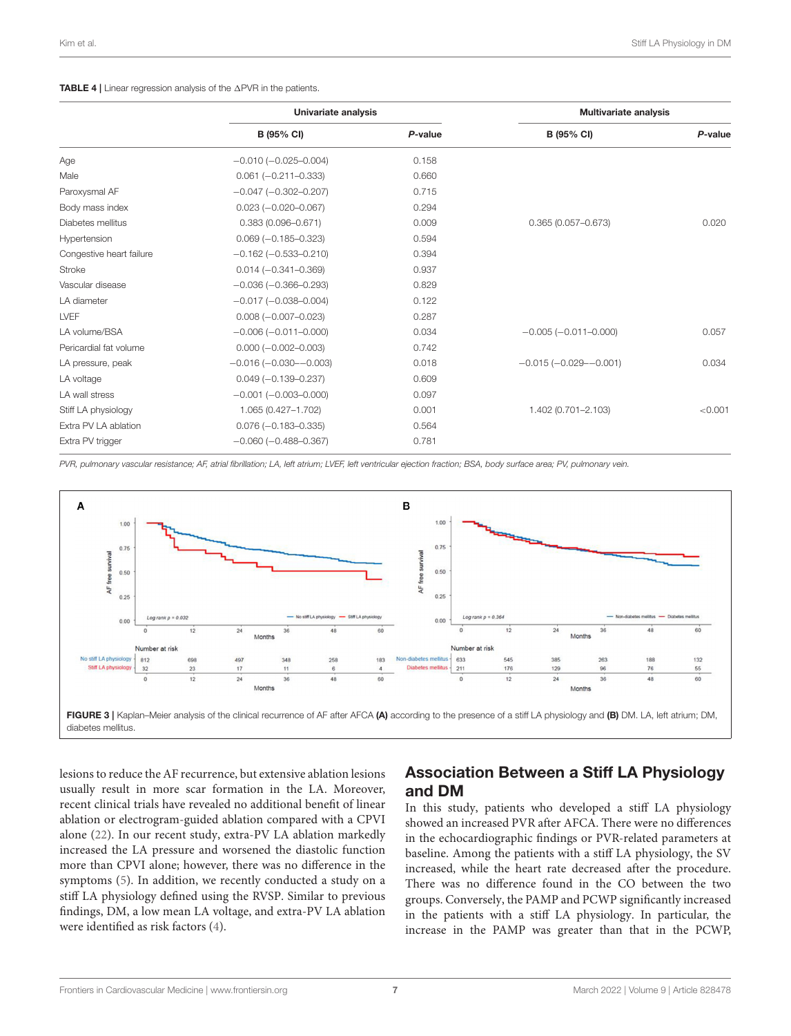#### <span id="page-6-0"></span>**TABLE 4** | Linear regression analysis of the  $\triangle$ PVR in the patients.

|                          | Univariate analysis           |         | <b>Multivariate analysis</b> |         |  |
|--------------------------|-------------------------------|---------|------------------------------|---------|--|
|                          | B (95% CI)                    | P-value | B (95% CI)                   | P-value |  |
| Age                      | $-0.010 (-0.025 - 0.004)$     | 0.158   |                              |         |  |
| Male                     | $0.061 (-0.211 - 0.333)$      | 0.660   |                              |         |  |
| Paroxysmal AF            | $-0.047$ ( $-0.302 - 0.207$ ) | 0.715   |                              |         |  |
| Body mass index          | $0.023 (-0.020 - 0.067)$      | 0.294   |                              |         |  |
| Diabetes mellitus        | $0.383(0.096 - 0.671)$        | 0.009   | $0.365(0.057 - 0.673)$       | 0.020   |  |
| Hypertension             | $0.069 (-0.185 - 0.323)$      | 0.594   |                              |         |  |
| Congestive heart failure | $-0.162$ ( $-0.533 - 0.210$ ) | 0.394   |                              |         |  |
| Stroke                   | $0.014 (-0.341 - 0.369)$      | 0.937   |                              |         |  |
| Vascular disease         | $-0.036(-0.366 - 0.293)$      | 0.829   |                              |         |  |
| LA diameter              | $-0.017 (-0.038 - 0.004)$     | 0.122   |                              |         |  |
| LVEF                     | $0.008 (-0.007 - 0.023)$      | 0.287   |                              |         |  |
| LA volume/BSA            | $-0.006(-0.011-0.000)$        | 0.034   | $-0.005(-0.011-0.000)$       | 0.057   |  |
| Pericardial fat volume   | $0.000 (-0.002 - 0.003)$      | 0.742   |                              |         |  |
| LA pressure, peak        | $-0.016(-0.030 - 0.003)$      | 0.018   | $-0.015(-0.029 - 0.001)$     | 0.034   |  |
| LA voltage               | $0.049 (-0.139 - 0.237)$      | 0.609   |                              |         |  |
| LA wall stress           | $-0.001$ $(-0.003 - 0.000)$   | 0.097   |                              |         |  |
| Stiff LA physiology      | 1.065 (0.427-1.702)           | 0.001   | 1.402 (0.701-2.103)          | < 0.001 |  |
| Extra PV LA ablation     | $0.076 (-0.183 - 0.335)$      | 0.564   |                              |         |  |
| Extra PV trigger         | $-0.060$ ( $-0.488 - 0.367$ ) | 0.781   |                              |         |  |

*PVR, pulmonary vascular resistance; AF, atrial fibrillation; LA, left atrium; LVEF, left ventricular ejection fraction; BSA, body surface area; PV, pulmonary vein.*



<span id="page-6-1"></span>lesions to reduce the AF recurrence, but extensive ablation lesions usually result in more scar formation in the LA. Moreover, recent clinical trials have revealed no additional benefit of linear ablation or electrogram-guided ablation compared with a CPVI alone [\(22\)](#page-8-22). In our recent study, extra-PV LA ablation markedly increased the LA pressure and worsened the diastolic function more than CPVI alone; however, there was no difference in the symptoms [\(5\)](#page-8-4). In addition, we recently conducted a study on a stiff LA physiology defined using the RVSP. Similar to previous findings, DM, a low mean LA voltage, and extra-PV LA ablation were identified as risk factors [\(4\)](#page-8-3).

### Association Between a Stiff LA Physiology and DM

In this study, patients who developed a stiff LA physiology showed an increased PVR after AFCA. There were no differences in the echocardiographic findings or PVR-related parameters at baseline. Among the patients with a stiff LA physiology, the SV increased, while the heart rate decreased after the procedure. There was no difference found in the CO between the two groups. Conversely, the PAMP and PCWP significantly increased in the patients with a stiff LA physiology. In particular, the increase in the PAMP was greater than that in the PCWP,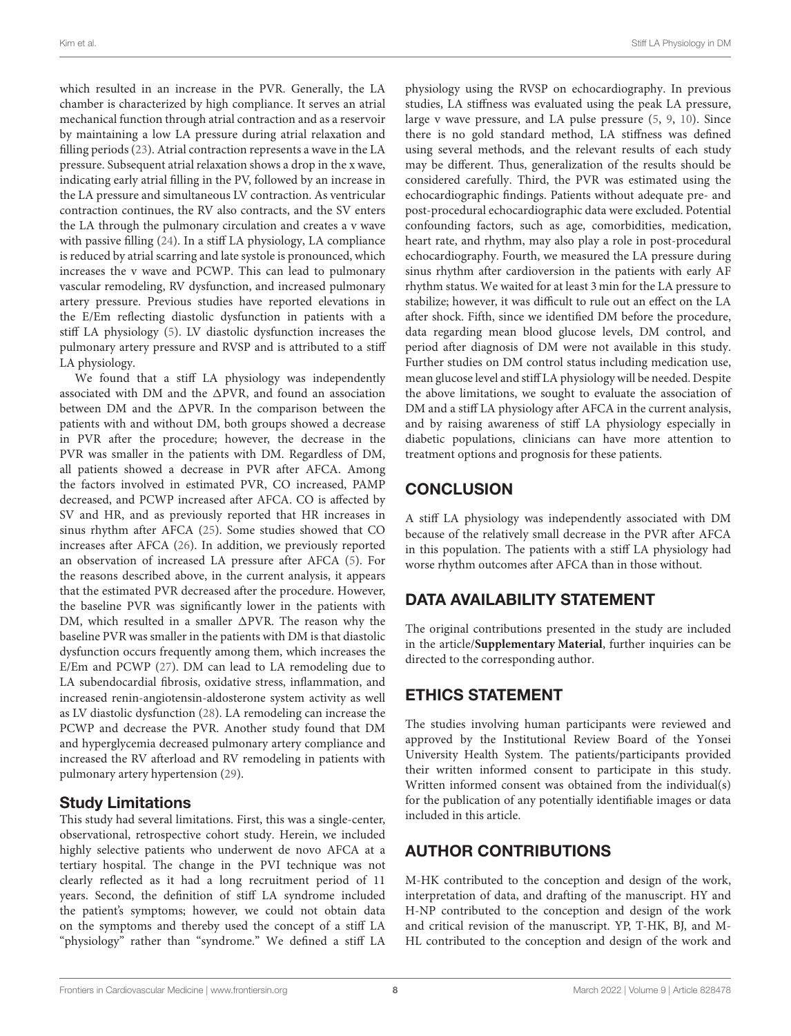which resulted in an increase in the PVR. Generally, the LA chamber is characterized by high compliance. It serves an atrial mechanical function through atrial contraction and as a reservoir by maintaining a low LA pressure during atrial relaxation and filling periods [\(23\)](#page-8-23). Atrial contraction represents a wave in the LA pressure. Subsequent atrial relaxation shows a drop in the x wave, indicating early atrial filling in the PV, followed by an increase in the LA pressure and simultaneous LV contraction. As ventricular contraction continues, the RV also contracts, and the SV enters the LA through the pulmonary circulation and creates a v wave with passive filling [\(24\)](#page-8-24). In a stiff LA physiology, LA compliance is reduced by atrial scarring and late systole is pronounced, which increases the v wave and PCWP. This can lead to pulmonary vascular remodeling, RV dysfunction, and increased pulmonary artery pressure. Previous studies have reported elevations in the E/Em reflecting diastolic dysfunction in patients with a stiff LA physiology [\(5\)](#page-8-4). LV diastolic dysfunction increases the pulmonary artery pressure and RVSP and is attributed to a stiff LA physiology.

We found that a stiff LA physiology was independently associated with DM and the  $\Delta$ PVR, and found an association between DM and the  $\Delta$ PVR. In the comparison between the patients with and without DM, both groups showed a decrease in PVR after the procedure; however, the decrease in the PVR was smaller in the patients with DM. Regardless of DM, all patients showed a decrease in PVR after AFCA. Among the factors involved in estimated PVR, CO increased, PAMP decreased, and PCWP increased after AFCA. CO is affected by SV and HR, and as previously reported that HR increases in sinus rhythm after AFCA [\(25\)](#page-8-25). Some studies showed that CO increases after AFCA [\(26\)](#page-8-26). In addition, we previously reported an observation of increased LA pressure after AFCA [\(5\)](#page-8-4). For the reasons described above, in the current analysis, it appears that the estimated PVR decreased after the procedure. However, the baseline PVR was significantly lower in the patients with DM, which resulted in a smaller  $\Delta$ PVR. The reason why the baseline PVR was smaller in the patients with DM is that diastolic dysfunction occurs frequently among them, which increases the E/Em and PCWP [\(27\)](#page-9-0). DM can lead to LA remodeling due to LA subendocardial fibrosis, oxidative stress, inflammation, and increased renin-angiotensin-aldosterone system activity as well as LV diastolic dysfunction [\(28\)](#page-9-1). LA remodeling can increase the PCWP and decrease the PVR. Another study found that DM and hyperglycemia decreased pulmonary artery compliance and increased the RV afterload and RV remodeling in patients with pulmonary artery hypertension [\(29\)](#page-9-2).

### Study Limitations

This study had several limitations. First, this was a single-center, observational, retrospective cohort study. Herein, we included highly selective patients who underwent de novo AFCA at a tertiary hospital. The change in the PVI technique was not clearly reflected as it had a long recruitment period of 11 years. Second, the definition of stiff LA syndrome included the patient's symptoms; however, we could not obtain data on the symptoms and thereby used the concept of a stiff LA "physiology" rather than "syndrome." We defined a stiff LA

physiology using the RVSP on echocardiography. In previous studies, LA stiffness was evaluated using the peak LA pressure, large v wave pressure, and LA pulse pressure [\(5,](#page-8-4) [9,](#page-8-8) [10\)](#page-8-9). Since there is no gold standard method, LA stiffness was defined using several methods, and the relevant results of each study may be different. Thus, generalization of the results should be considered carefully. Third, the PVR was estimated using the echocardiographic findings. Patients without adequate pre- and post-procedural echocardiographic data were excluded. Potential confounding factors, such as age, comorbidities, medication, heart rate, and rhythm, may also play a role in post-procedural echocardiography. Fourth, we measured the LA pressure during sinus rhythm after cardioversion in the patients with early AF rhythm status. We waited for at least 3 min for the LA pressure to stabilize; however, it was difficult to rule out an effect on the LA after shock. Fifth, since we identified DM before the procedure, data regarding mean blood glucose levels, DM control, and period after diagnosis of DM were not available in this study. Further studies on DM control status including medication use, mean glucose level and stiff LA physiology will be needed. Despite the above limitations, we sought to evaluate the association of DM and a stiff LA physiology after AFCA in the current analysis, and by raising awareness of stiff LA physiology especially in diabetic populations, clinicians can have more attention to treatment options and prognosis for these patients.

# **CONCLUSION**

A stiff LA physiology was independently associated with DM because of the relatively small decrease in the PVR after AFCA in this population. The patients with a stiff LA physiology had worse rhythm outcomes after AFCA than in those without.

# DATA AVAILABILITY STATEMENT

The original contributions presented in the study are included in the article/**[Supplementary Material](#page-8-20)**, further inquiries can be directed to the corresponding author.

# ETHICS STATEMENT

The studies involving human participants were reviewed and approved by the Institutional Review Board of the Yonsei University Health System. The patients/participants provided their written informed consent to participate in this study. Written informed consent was obtained from the individual(s) for the publication of any potentially identifiable images or data included in this article.

# AUTHOR CONTRIBUTIONS

M-HK contributed to the conception and design of the work, interpretation of data, and drafting of the manuscript. HY and H-NP contributed to the conception and design of the work and critical revision of the manuscript. YP, T-HK, BJ, and M-HL contributed to the conception and design of the work and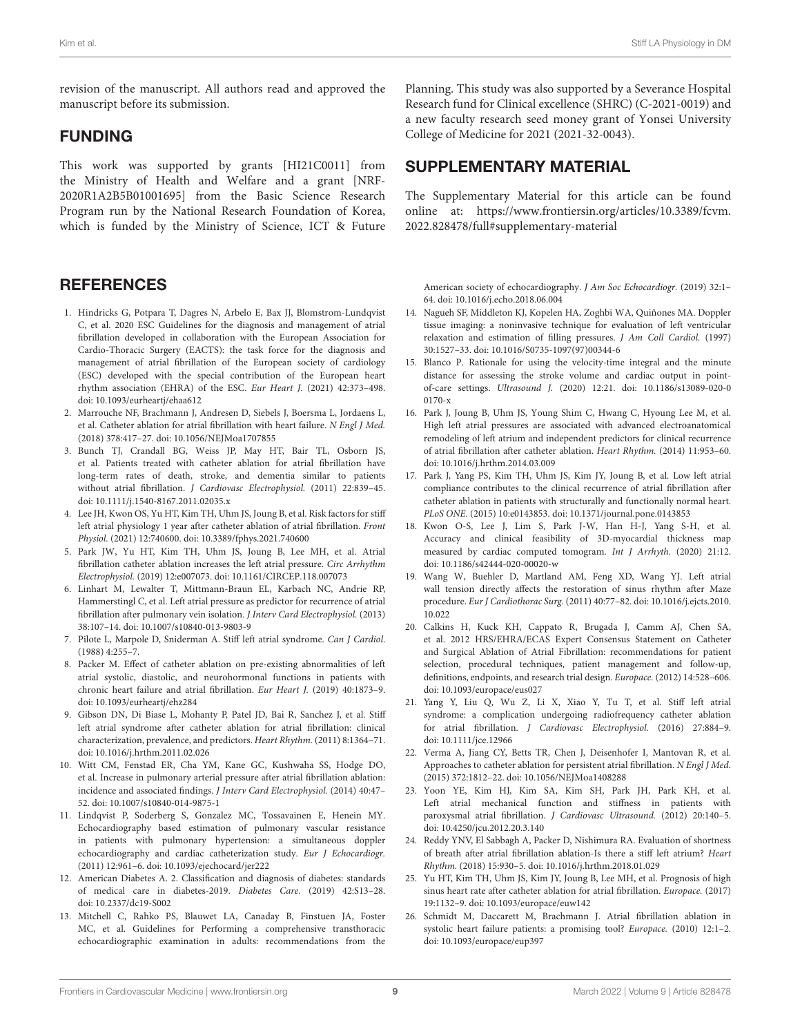revision of the manuscript. All authors read and approved the manuscript before its submission.

#### FUNDING

This work was supported by grants [HI21C0011] from the Ministry of Health and Welfare and a grant [NRF-2020R1A2B5B01001695] from the Basic Science Research Program run by the National Research Foundation of Korea, which is funded by the Ministry of Science, ICT & Future

#### **REFERENCES**

- <span id="page-8-0"></span>1. Hindricks G, Potpara T, Dagres N, Arbelo E, Bax JJ, Blomstrom-Lundqvist C, et al. 2020 ESC Guidelines for the diagnosis and management of atrial fibrillation developed in collaboration with the European Association for Cardio-Thoracic Surgery (EACTS): the task force for the diagnosis and management of atrial fibrillation of the European society of cardiology (ESC) developed with the special contribution of the European heart rhythm association (EHRA) of the ESC. Eur Heart J. (2021) 42:373–498. doi: [10.1093/eurheartj/ehaa612](https://doi.org/10.1093/eurheartj/ehaa612)
- <span id="page-8-1"></span>2. Marrouche NF, Brachmann J, Andresen D, Siebels J, Boersma L, Jordaens L, et al. Catheter ablation for atrial fibrillation with heart failure. N Engl J Med. (2018) 378:417–27. doi: [10.1056/NEJMoa1707855](https://doi.org/10.1056/NEJMoa1707855)
- <span id="page-8-2"></span>3. Bunch TJ, Crandall BG, Weiss JP, May HT, Bair TL, Osborn JS, et al. Patients treated with catheter ablation for atrial fibrillation have long-term rates of death, stroke, and dementia similar to patients without atrial fibrillation. J Cardiovasc Electrophysiol. (2011) 22:839–45. doi: [10.1111/j.1540-8167.2011.02035.x](https://doi.org/10.1111/j.1540-8167.2011.02035.x)
- <span id="page-8-3"></span>4. Lee JH, Kwon OS, Yu HT, Kim TH, Uhm JS, Joung B, et al. Risk factors for stiff left atrial physiology 1 year after catheter ablation of atrial fibrillation. Front Physiol. (2021) 12:740600. doi: [10.3389/fphys.2021.740600](https://doi.org/10.3389/fphys.2021.740600)
- <span id="page-8-4"></span>5. Park JW, Yu HT, Kim TH, Uhm JS, Joung B, Lee MH, et al. Atrial fibrillation catheter ablation increases the left atrial pressure. Circ Arrhythm Electrophysiol. (2019) 12:e007073. doi: [10.1161/CIRCEP.118.007073](https://doi.org/10.1161/CIRCEP.118.007073)
- <span id="page-8-5"></span>6. Linhart M, Lewalter T, Mittmann-Braun EL, Karbach NC, Andrie RP, Hammerstingl C, et al. Left atrial pressure as predictor for recurrence of atrial fibrillation after pulmonary vein isolation. J Interv Card Electrophysiol. (2013) 38:107–14. doi: [10.1007/s10840-013-9803-9](https://doi.org/10.1007/s10840-013-9803-9)
- <span id="page-8-6"></span>7. Pilote L, Marpole D, Sniderman A. Stiff left atrial syndrome. Can J Cardiol. (1988) 4:255–7.
- <span id="page-8-7"></span>8. Packer M. Effect of catheter ablation on pre-existing abnormalities of left atrial systolic, diastolic, and neurohormonal functions in patients with chronic heart failure and atrial fibrillation. Eur Heart J. (2019) 40:1873–9. doi: [10.1093/eurheartj/ehz284](https://doi.org/10.1093/eurheartj/ehz284)
- <span id="page-8-8"></span>9. Gibson DN, Di Biase L, Mohanty P, Patel JD, Bai R, Sanchez J, et al. Stiff left atrial syndrome after catheter ablation for atrial fibrillation: clinical characterization, prevalence, and predictors. Heart Rhythm. (2011) 8:1364–71. doi: [10.1016/j.hrthm.2011.02.026](https://doi.org/10.1016/j.hrthm.2011.02.026)
- <span id="page-8-9"></span>10. Witt CM, Fenstad ER, Cha YM, Kane GC, Kushwaha SS, Hodge DO, et al. Increase in pulmonary arterial pressure after atrial fibrillation ablation: incidence and associated findings. J Interv Card Electrophysiol. (2014) 40:47– 52. doi: [10.1007/s10840-014-9875-1](https://doi.org/10.1007/s10840-014-9875-1)
- <span id="page-8-10"></span>11. Lindqvist P, Soderberg S, Gonzalez MC, Tossavainen E, Henein MY. Echocardiography based estimation of pulmonary vascular resistance in patients with pulmonary hypertension: a simultaneous doppler echocardiography and cardiac catheterization study. Eur J Echocardiogr. (2011) 12:961–6. doi: [10.1093/ejechocard/jer222](https://doi.org/10.1093/ejechocard/jer222)
- <span id="page-8-11"></span>12. American Diabetes A. 2. Classification and diagnosis of diabetes: standards of medical care in diabetes-2019. Diabetes Care. (2019) 42:S13–28. doi: [10.2337/dc19-S002](https://doi.org/10.2337/dc19-S002)
- <span id="page-8-12"></span>13. Mitchell C, Rahko PS, Blauwet LA, Canaday B, Finstuen JA, Foster MC, et al. Guidelines for Performing a comprehensive transthoracic echocardiographic examination in adults: recommendations from the

Planning. This study was also supported by a Severance Hospital Research fund for Clinical excellence (SHRC) (C-2021-0019) and a new faculty research seed money grant of Yonsei University College of Medicine for 2021 (2021-32-0043).

#### SUPPLEMENTARY MATERIAL

<span id="page-8-20"></span>The Supplementary Material for this article can be found [online at: https://www.frontiersin.org/articles/10.3389/fcvm.](https://www.frontiersin.org/articles/10.3389/fcvm.2022.828478/full#supplementary-material) 2022.828478/full#supplementary-material

American society of echocardiography. J Am Soc Echocardiogr. (2019) 32:1– 64. doi: [10.1016/j.echo.2018.06.004](https://doi.org/10.1016/j.echo.2018.06.004)

- <span id="page-8-13"></span>14. Nagueh SF, Middleton KJ, Kopelen HA, Zoghbi WA, Quiñones MA. Doppler tissue imaging: a noninvasive technique for evaluation of left ventricular relaxation and estimation of filling pressures. J Am Coll Cardiol. (1997) 30:1527–33. doi: [10.1016/S0735-1097\(97\)00344-6](https://doi.org/10.1016/S0735-1097(97)00344-6)
- <span id="page-8-14"></span>15. Blanco P. Rationale for using the velocity-time integral and the minute distance for assessing the stroke volume and cardiac output in pointof-care settings. Ultrasound J. [\(2020\) 12:21. doi: 10.1186/s13089-020-0](https://doi.org/10.1186/s13089-020-00170-x) 0170-x
- <span id="page-8-15"></span>16. Park J, Joung B, Uhm JS, Young Shim C, Hwang C, Hyoung Lee M, et al. High left atrial pressures are associated with advanced electroanatomical remodeling of left atrium and independent predictors for clinical recurrence of atrial fibrillation after catheter ablation. Heart Rhythm. (2014) 11:953–60. doi: [10.1016/j.hrthm.2014.03.009](https://doi.org/10.1016/j.hrthm.2014.03.009)
- <span id="page-8-16"></span>17. Park J, Yang PS, Kim TH, Uhm JS, Kim JY, Joung B, et al. Low left atrial compliance contributes to the clinical recurrence of atrial fibrillation after catheter ablation in patients with structurally and functionally normal heart. PLoS ONE. (2015) 10:e0143853. doi: [10.1371/journal.pone.0143853](https://doi.org/10.1371/journal.pone.0143853)
- <span id="page-8-17"></span>18. Kwon O-S, Lee J, Lim S, Park J-W, Han H-J, Yang S-H, et al. Accuracy and clinical feasibility of 3D-myocardial thickness map measured by cardiac computed tomogram. Int J Arrhyth. (2020) 21:12. doi: [10.1186/s42444-020-00020-w](https://doi.org/10.1186/s42444-020-00020-w)
- <span id="page-8-18"></span>19. Wang W, Buehler D, Martland AM, Feng XD, Wang YJ. Left atrial wall tension directly affects the restoration of sinus rhythm after Maze procedure. Eur J Cardiothorac Surg. [\(2011\) 40:77–82. doi: 10.1016/j.ejcts.2010.](https://doi.org/10.1016/j.ejcts.2010.10.022) 10.022
- <span id="page-8-19"></span>20. Calkins H, Kuck KH, Cappato R, Brugada J, Camm AJ, Chen SA, et al. 2012 HRS/EHRA/ECAS Expert Consensus Statement on Catheter and Surgical Ablation of Atrial Fibrillation: recommendations for patient selection, procedural techniques, patient management and follow-up, definitions, endpoints, and research trial design. Europace. (2012) 14:528–606. doi: [10.1093/europace/eus027](https://doi.org/10.1093/europace/eus027)
- <span id="page-8-21"></span>21. Yang Y, Liu Q, Wu Z, Li X, Xiao Y, Tu T, et al. Stiff left atrial syndrome: a complication undergoing radiofrequency catheter ablation for atrial fibrillation. J Cardiovasc Electrophysiol. (2016) 27:884–9. doi: [10.1111/jce.12966](https://doi.org/10.1111/jce.12966)
- <span id="page-8-22"></span>22. Verma A, Jiang CY, Betts TR, Chen J, Deisenhofer I, Mantovan R, et al. Approaches to catheter ablation for persistent atrial fibrillation. N Engl J Med. (2015) 372:1812–22. doi: [10.1056/NEJMoa1408288](https://doi.org/10.1056/NEJMoa1408288)
- <span id="page-8-23"></span>23. Yoon YE, Kim HJ, Kim SA, Kim SH, Park JH, Park KH, et al. Left atrial mechanical function and stiffness in patients with paroxysmal atrial fibrillation. J Cardiovasc Ultrasound. (2012) 20:140–5. doi: [10.4250/jcu.2012.20.3.140](https://doi.org/10.4250/jcu.2012.20.3.140)
- <span id="page-8-24"></span>24. Reddy YNV, El Sabbagh A, Packer D, Nishimura RA. Evaluation of shortness of breath after atrial fibrillation ablation-Is there a stiff left atrium? Heart Rhythm. (2018) 15:930–5. doi: [10.1016/j.hrthm.2018.01.029](https://doi.org/10.1016/j.hrthm.2018.01.029)
- <span id="page-8-25"></span>25. Yu HT, Kim TH, Uhm JS, Kim JY, Joung B, Lee MH, et al. Prognosis of high sinus heart rate after catheter ablation for atrial fibrillation. Europace. (2017) 19:1132–9. doi: [10.1093/europace/euw142](https://doi.org/10.1093/europace/euw142)
- <span id="page-8-26"></span>26. Schmidt M, Daccarett M, Brachmann J. Atrial fibrillation ablation in systolic heart failure patients: a promising tool? Europace. (2010) 12:1–2. doi: [10.1093/europace/eup397](https://doi.org/10.1093/europace/eup397)